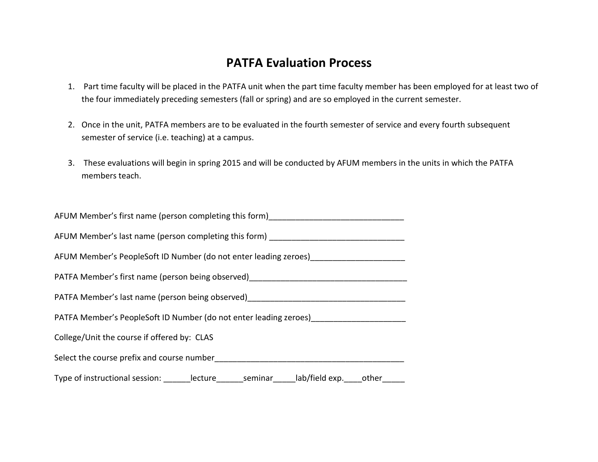## **PATFA Evaluation Process**

- 1. Part time faculty will be placed in the PATFA unit when the part time faculty member has been employed for at least two of the four immediately preceding semesters (fall or spring) and are so employed in the current semester.
- 2. Once in the unit, PATFA members are to be evaluated in the fourth semester of service and every fourth subsequent semester of service (i.e. teaching) at a campus.
- 3. These evaluations will begin in spring 2015 and will be conducted by AFUM members in the units in which the PATFA members teach.

| AFUM Member's first name (person completing this form)                                        |  |  |  |  |  |  |  |  |
|-----------------------------------------------------------------------------------------------|--|--|--|--|--|--|--|--|
| AFUM Member's last name (person completing this form) __________________________              |  |  |  |  |  |  |  |  |
| AFUM Member's PeopleSoft ID Number (do not enter leading zeroes) _______________              |  |  |  |  |  |  |  |  |
|                                                                                               |  |  |  |  |  |  |  |  |
|                                                                                               |  |  |  |  |  |  |  |  |
| PATFA Member's PeopleSoft ID Number (do not enter leading zeroes) [1994]                      |  |  |  |  |  |  |  |  |
| College/Unit the course if offered by: CLAS                                                   |  |  |  |  |  |  |  |  |
| Select the course prefix and course number                                                    |  |  |  |  |  |  |  |  |
| Type of instructional session: _______lecture_______seminar_____lab/field exp. ____other_____ |  |  |  |  |  |  |  |  |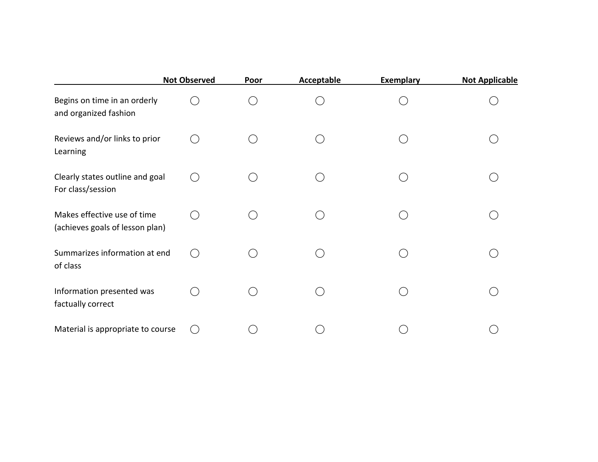|                                                                | <b>Not Observed</b> | Poor | <b>Acceptable</b> | <b>Exemplary</b> | <b>Not Applicable</b> |
|----------------------------------------------------------------|---------------------|------|-------------------|------------------|-----------------------|
| Begins on time in an orderly<br>and organized fashion          |                     |      |                   |                  |                       |
| Reviews and/or links to prior<br>Learning                      |                     |      |                   |                  |                       |
| Clearly states outline and goal<br>For class/session           | $( \ )$             |      |                   |                  |                       |
| Makes effective use of time<br>(achieves goals of lesson plan) | $($ )               |      |                   |                  |                       |
| Summarizes information at end<br>of class                      | $($ )               |      |                   |                  |                       |
| Information presented was<br>factually correct                 |                     |      |                   |                  |                       |
| Material is appropriate to course                              |                     |      |                   |                  |                       |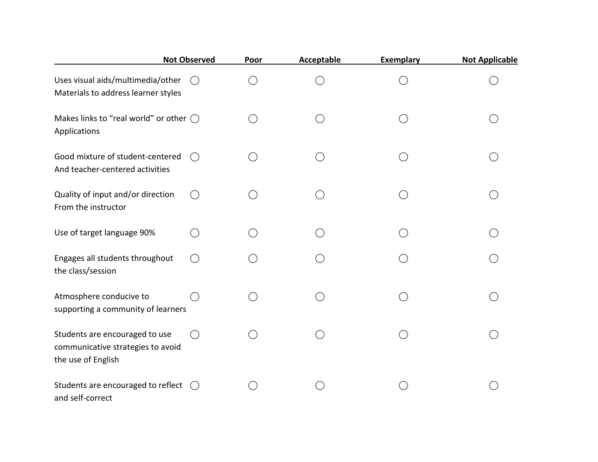|                                                                                           | <b>Not Observed</b> | Poor   | Acceptable | <b>Exemplary</b> | <b>Not Applicable</b> |
|-------------------------------------------------------------------------------------------|---------------------|--------|------------|------------------|-----------------------|
| Uses visual aids/multimedia/other<br>Materials to address learner styles                  |                     | $\Box$ |            |                  |                       |
| Makes links to "real world" or other $\bigcirc$<br>Applications                           |                     |        |            |                  |                       |
| Good mixture of student-centered<br>And teacher-centered activities                       | $($ )               |        |            |                  |                       |
| Quality of input and/or direction<br>From the instructor                                  |                     |        |            |                  |                       |
| Use of target language 90%                                                                |                     |        |            |                  |                       |
| Engages all students throughout<br>the class/session                                      |                     |        |            |                  |                       |
| Atmosphere conducive to<br>supporting a community of learners                             |                     |        |            |                  |                       |
| Students are encouraged to use<br>communicative strategies to avoid<br>the use of English |                     |        |            |                  |                       |
| Students are encouraged to reflect<br>and self-correct                                    | (                   |        |            |                  |                       |